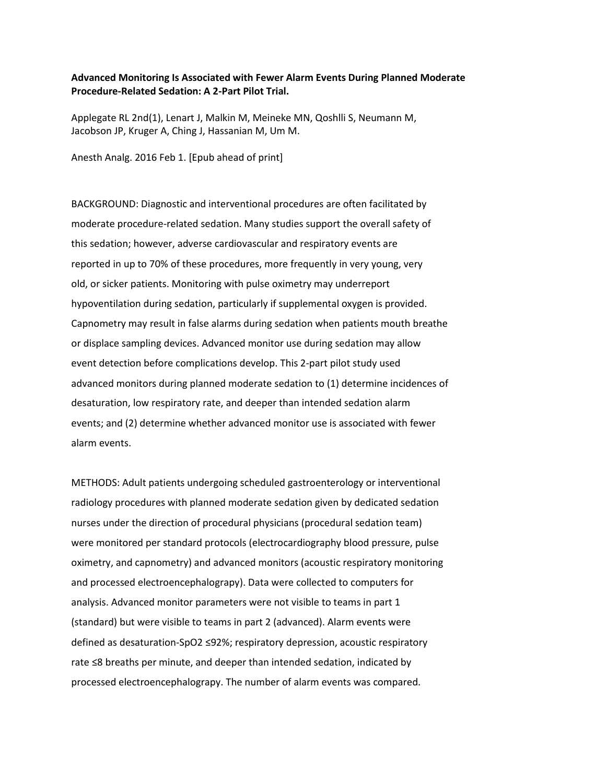## **Advanced Monitoring Is Associated with Fewer Alarm Events During Planned Moderate Procedure-Related Sedation: A 2-Part Pilot Trial.**

Applegate RL 2nd(1), Lenart J, Malkin M, Meineke MN, Qoshlli S, Neumann M, Jacobson JP, Kruger A, Ching J, Hassanian M, Um M.

Anesth Analg. 2016 Feb 1. [Epub ahead of print]

BACKGROUND: Diagnostic and interventional procedures are often facilitated by moderate procedure-related sedation. Many studies support the overall safety of this sedation; however, adverse cardiovascular and respiratory events are reported in up to 70% of these procedures, more frequently in very young, very old, or sicker patients. Monitoring with pulse oximetry may underreport hypoventilation during sedation, particularly if supplemental oxygen is provided. Capnometry may result in false alarms during sedation when patients mouth breathe or displace sampling devices. Advanced monitor use during sedation may allow event detection before complications develop. This 2-part pilot study used advanced monitors during planned moderate sedation to (1) determine incidences of desaturation, low respiratory rate, and deeper than intended sedation alarm events; and (2) determine whether advanced monitor use is associated with fewer alarm events.

METHODS: Adult patients undergoing scheduled gastroenterology or interventional radiology procedures with planned moderate sedation given by dedicated sedation nurses under the direction of procedural physicians (procedural sedation team) were monitored per standard protocols (electrocardiography blood pressure, pulse oximetry, and capnometry) and advanced monitors (acoustic respiratory monitoring and processed electroencephalograpy). Data were collected to computers for analysis. Advanced monitor parameters were not visible to teams in part 1 (standard) but were visible to teams in part 2 (advanced). Alarm events were defined as desaturation-SpO2 ≤92%; respiratory depression, acoustic respiratory rate ≤8 breaths per minute, and deeper than intended sedation, indicated by processed electroencephalograpy. The number of alarm events was compared.